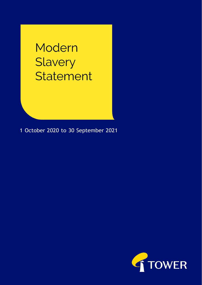# Modern Slavery Statement

1 October 2020 to 30 September 2021

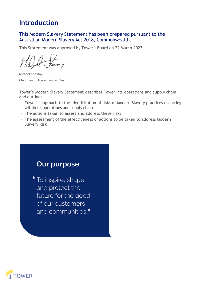# **Introduction**

### This Modern Slavery Statement has been prepared pursuant to the Australian Modern Slavery Act 2018, Commonwealth.

This Statement was approved by Tower's Board on 22 March 2022.

Michael Stiassny Chairman of Tower Limited Board

Tower's Modern Slavery Statement describes Tower, its operations and supply chain and outlines:

- Tower's approach to the identification of risks of Modern Slavery practices occurring within its operations and supply chain
- The actions taken to assess and address these risks
- The assessment of the effectiveness of actions to be taken to address Modern Slavery Risk

# **Our purpose**

"To inspire, shape and protect the future for the good of our customers and communities."

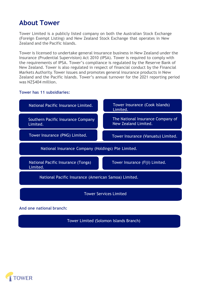# **About Tower**

Tower Limited is a publicly listed company on both the Australian Stock Exchange (Foreign Exempt Listing) and New Zealand Stock Exchange that operates in New Zealand and the Pacific Islands.

Tower is licensed to undertake general insurance business in New Zealand under the Insurance (Prudential Supervision) Act 2010 (IPSA). Tower is required to comply with the requirements of IPSA. Tower's compliance is regulated by the Reserve Bank of New Zealand. Tower is also regulated in respect of financial conduct by the Financial Markets Authority. Tower issues and promotes general insurance products in New Zealand and the Pacific Islands. Tower's annual turnover for the 2021 reporting period was NZ\$404 million.

#### **Tower has 11 subsidiaries:**



Tower Limited (Solomon Islands Branch)

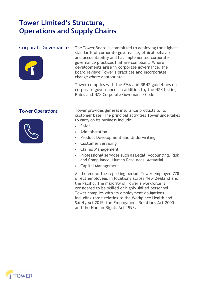# **Tower Limited's Structure, Operations and Supply Chains**

# Corporate Governance



The Tower Board is committed to achieving the highest standards of corporate governance, ethical behavior, and accountability and has implemented corporate governance practices that are compliant. Where developments arise in corporate governance, the Board reviews Tower's practices and incorporates change where appropriate.

Tower complies with the FMA and RBNZ guidelines on corporate governance, in addition to, the NZX Listing Rules and NZX Corporate Governance Code.

# Tower Operations



Tower provides general insurance products to its customer base. The principal activities Tower undertakes to carry on its business include:

- **Sales**
- Administration
- Product Development and Underwriting
- Customer Servicing
- Claims Management
- Professional services such as Legal, Accounting, Risk and Compliance, Human Resources, Actuarial
- Capital Management

At the end of the reporting period, Tower employed 778 direct employees in locations across New Zealand and the Pacific. The majority of Tower's workforce is considered to be skilled or highly skilled personnel. Tower complies with its employment obligations, including those relating to the Workplace Health and Safety Act 2015, the Employment Relations Act 2000 and the Human Rights Act 1993.

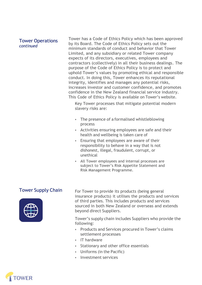### Tower Operations *continued*

Tower has a Code of Ethics Policy which has been approved by its Board. The Code of Ethics Policy sets out the minimum standards of conduct and behavior that Tower Limited, and any subsidiary or related Tower company expects of its directors, executives, employees and contractors (collectively) in all their business dealings. The purpose of the Code of Ethics Policy is to protect and uphold Tower's values by promoting ethical and responsible conduct. In doing this, Tower enhances its reputational integrity, identifies and manages any potential risks, increases investor and customer confidence, and promotes confidence in the New Zealand financial service industry. This Code of Ethics Policy is available on Tower's website.

Key Tower processes that mitigate potential modern slavery risks are:

- The presence of a formalised whistleblowing process
- Activities ensuring employees are safe and their health and wellbeing is taken care of
- Ensuring that employees are aware of their responsibility to behave in a way that is not dishonest, illegal, fraudulent, corrupt, or unethical
- All Tower employees and internal processes are subject to Tower's Risk Appetite Statement and Risk Management Programme.

# Tower Supply Chain



For Tower to provide its products (being general insurance products) it utilises the products and services of third parties. This includes products and services sourced in both New Zealand or overseas and extends beyond direct Suppliers.

Tower's supply chain includes Suppliers who provide the following:

- Products and Services procured in Tower's claims settlement processes
- IT hardware
- Stationary and other office essentials
- Uniforms (in the Pacific)
- Investment services

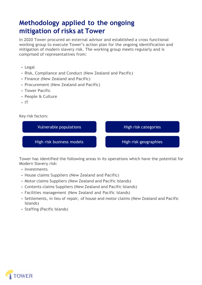# **Methodology applied to the ongoing mitigation of risks at Tower**

In 2020 Tower procured an external advisor and established a cross functional working group to execute Tower's action plan for the ongoing identification and mitigation of modern slavery risk. The working group meets regularly and is comprised of representatives from:

- Legal
- Risk, Compliance and Conduct (New Zealand and Pacific)
- Finance (New Zealand and Pacific)
- Procurement (New Zealand and Pacific)
- Tower Pacific
- People & Culture
- IT

#### Key risk factors:



Tower has identified the following areas in its operations which have the potential for Modern Slavery risk:

- Investments
- House claims Suppliers (New Zealand and Pacific)
- Motor claims Suppliers (New Zealand and Pacific Islands)
- Contents claims Suppliers (New Zealand and Pacific Islands)
- Facilities management (New Zealand and Pacific Islands)
- Settlements, in lieu of repair, of house and motor claims (New Zealand and Pacific Islands)
- Staffing (Pacific Islands)

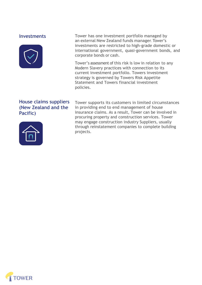#### **Investments**



Tower has one investment portfolio managed by an external New Zealand funds manager. Tower's investments are restricted to high-grade domestic or international government, quasi-government bonds, and corporate bonds or cash.

Tower's assessment of this risk is low in relation to any Modern Slavery practices with connection to its current investment portfolio. Towers investment strategy is governed by Towers Risk Appetite Statement and Towers financial investment policies.

# House claims suppliers (New Zealand and the Pacific)



Tower supports its customers in limited circumstances in providing end to end management of house insurance claims. As a result, Tower can be involved in procuring property and construction services. Tower may engage construction industry Suppliers, usually through reinstatement companies to complete building projects.

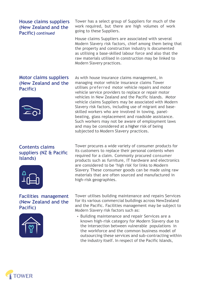### House claims suppliers (New Zealand and the Pacific) *continued*

### Motor claims suppliers (New Zealand and the Pacific)



# Contents claims suppliers (NZ & Pacific Islands)



### Facilities management (New Zealand and the Pacific)



Tower has a select group of Suppliers for much of the work required, but there are high volumes of work going to these Suppliers.

House claims Suppliers are associated with several Modern Slavery risk factors, chief among them being that the property and construction industry is documented as utilising a base-skilled labour force and also that the raw materials utilised in construction may be linked to Modern Slavery practices.

As with house insurance claims management, in managing motor vehicle insurance claims Tower utilises preferred motor vehicle repairs and motor vehicle service providers to replace or repair motor vehicles in New Zealand and the Pacific Islands. Motor vehicle claims Suppliers may be associated with Modern Slavery risk factors, including use of migrant and baseskilled workers who are involved in towing, panelbeating, glass replacement and roadside assistance. Such workers may not be aware of employment laws and may be considered at a higher risk of being subjected to Modern Slavery practices.

Tower procures a wide variety of consumer products for its customers to replace their personal contents when required for a claim. Commonly procured consumer products such as furniture, IT hardware and electronics are considered to be 'high risk' for links to Modern Slavery. These consumer goods can be made using raw materials that are often sourced and manufactured in high-risk geographies.

Tower utilises building maintenance and repairs Services for its various commercial buildings across NewZealand and the Pacific. Facilities management may be subject to Modern Slavery risk factors such as:

• Building maintenance and repair Services are a known high-risk category for Modern Slavery due to the intersection between vulnerable populations in the workforce and the common business model of outsourcing these services and sub-contracting within the industry itself. In respect of the Pacific Islands,

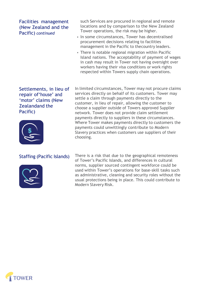# Facilities management (New Zealand and the Pacific) *continued*

such Services are procured in regional and remote locations and by comparison to the New Zealand Tower operations, the risk may be higher.

- In some circumstances, Tower has decentralised procurement decisions relating to facilities management in the Pacific to thecountry leaders.
- There is notable regional migration within Pacific Island nations. The acceptability of payment of wages in cash may result in Tower not having oversight over workers having their visa conditions or work rights respected within Towers supply chain operations.

Settlements, in lieu of repair of'house' and 'motor' claims (New Zealandand the Pacific)



In limited circumstances, Tower may not procure claims services directly on behalf of its customers. Tower may settle a claim through payments directly to the customer, in lieu of repair, allowing the customer to choose a supplier outside of Towers approved Supplier network. Tower does not provide claim settlement payments directly to suppliers in these circumstances. Where Tower makes payments directly to customers the payments could unwittingly contribute to Modern Slavery practices when customers use suppliers of their choosing.

### Staffing (Pacific Islands)



There is a risk that due to the geographical remoteness of Tower's Pacific Islands, and differences in cultural norms, supplier sourced contingent workforce could be used within Tower's operations for base-skill tasks such as administrative, cleaning and security roles without the usual protections being in place. This could contribute to Modern Slavery Risk.

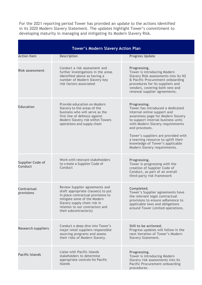For the 2021 reporting period Tower has provided an update to the actions identified in its 2020 Modern Slavery Statement. The updates highlight Tower's commitment to developing maturity in managing and mitigating its Modern Slavery Risk.

| <b>Tower's Modern Slavery Action Plan</b> |                                                                                                                                                                                                                                        |                                                                                                                                                                                                                                                                                                                                                                   |
|-------------------------------------------|----------------------------------------------------------------------------------------------------------------------------------------------------------------------------------------------------------------------------------------|-------------------------------------------------------------------------------------------------------------------------------------------------------------------------------------------------------------------------------------------------------------------------------------------------------------------------------------------------------------------|
| <b>Action Item</b>                        | Description                                                                                                                                                                                                                            | <b>Progress Update</b>                                                                                                                                                                                                                                                                                                                                            |
| <b>Risk assessment</b>                    | Conduct a risk assessment and<br>further investigations in the areas<br>identified above as having a<br>number of Modern Slavery key<br>risk factors associated                                                                        | Progressing.<br>Tower is introducing Modern<br>Slavery Risk assessments into its NZ<br>& Pacific Procurement onboarding<br>procedures for its suppliers and<br>vendors, covering both new and<br>renewal supplier agreements.                                                                                                                                     |
| <b>Education</b>                          | Provide education on Modern<br>Slavery to the areas of the<br>business who will serve as the<br>first line of defence against<br>Modern Slavery risk within Towers<br>operations and supply chain                                      | Progressing.<br>Tower has introduced a dedicated<br>internal online support and<br>awareness page for Modern Slavery<br>to support internal business units<br>with Modern Slavery requirements<br>and processes.<br>Tower's suppliers are provided with<br>a learning resource to uplift their<br>knowledge of Tower's applicable<br>Modern Slavery requirements. |
| <b>Supplier Code of</b><br>Conduct        | Work with relevant stakeholders<br>to create a Supplier Code of<br>Conduct                                                                                                                                                             | Progressing.<br>Tower is progressing with the<br>creation of Supplier Code of<br>Conduct, as part of an overall<br>third-party risk framework                                                                                                                                                                                                                     |
| Contractual<br>provisions                 | Review Supplier agreements and<br>draft appropriate clause(s) to put<br>in place contractual provisions to<br>mitigate some of the Modern<br>Slavery supply chain risk in<br>relation to our contractors and<br>their subcontractor(s) | Completed.<br>Tower's Supplier agreements have<br>the relevant legal contractual<br>provisions to ensure adherence to<br>applicable laws and obligations<br>around Tower Limited operations.                                                                                                                                                                      |
| <b>Research suppliers</b>                 | Conduct a deep dive into Tower's<br>major retail suppliers responsible<br>sourcing programs and assess<br>their risks of Modern Slavery.                                                                                               | Still to be actioned.<br>Progress updates will follow in the<br>next iteration of Tower's Modern<br>Slavery Statement.                                                                                                                                                                                                                                            |
| <b>Pacific Islands</b>                    | Liaise with Pacific Islands<br>stakeholders to determine<br>appropriate controls for Pacific<br>Islands                                                                                                                                | Progressing.<br>Tower is introducing Modern<br>Slavery risk assessments into its<br>Pacific Procurement onboarding<br>procedures.                                                                                                                                                                                                                                 |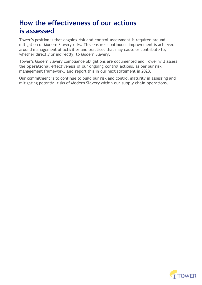# **How the effectiveness of our actions is assessed**

Tower's position is that ongoing risk and control assessment is required around mitigation of Modern Slavery risks. This ensures continuous improvement is achieved around management of activities and practices that may cause or contribute to, whether directly or indirectly, to Modern Slavery.

Tower's Modern Slavery compliance obligations are documented and Tower will assess the operational effectiveness of our ongoing control actions, as per our risk management framework, and report this in our next statement in 2023.

Our commitment is to continue to build our risk and control maturity in assessing and mitigating potential risks of Modern Slavery within our supply chain operations.